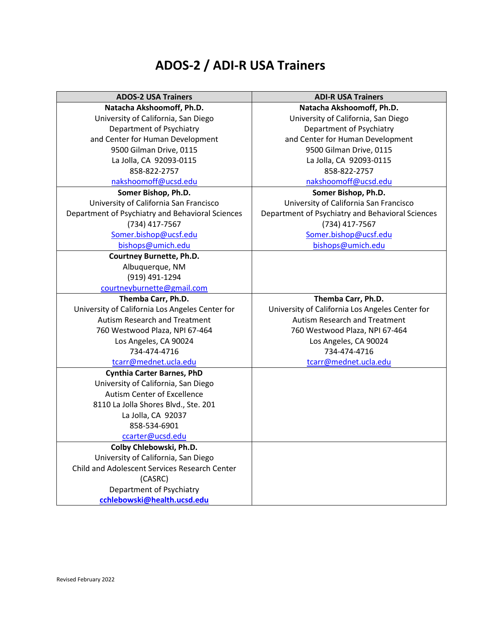## **ADOS-2 / ADI-R USA Trainers**

| <b>ADOS-2 USA Trainers</b>                       | <b>ADI-R USA Trainers</b>                        |
|--------------------------------------------------|--------------------------------------------------|
| Natacha Akshoomoff, Ph.D.                        | Natacha Akshoomoff, Ph.D.                        |
| University of California, San Diego              | University of California, San Diego              |
| Department of Psychiatry                         | Department of Psychiatry                         |
| and Center for Human Development                 | and Center for Human Development                 |
| 9500 Gilman Drive, 0115                          | 9500 Gilman Drive, 0115                          |
| La Jolla, CA 92093-0115                          | La Jolla, CA 92093-0115                          |
| 858-822-2757                                     | 858-822-2757                                     |
| nakshoomoff@ucsd.edu                             | nakshoomoff@ucsd.edu                             |
| Somer Bishop, Ph.D.                              | Somer Bishop, Ph.D.                              |
| University of California San Francisco           | University of California San Francisco           |
| Department of Psychiatry and Behavioral Sciences | Department of Psychiatry and Behavioral Sciences |
| (734) 417-7567                                   | (734) 417-7567                                   |
| Somer.bishop@ucsf.edu                            | Somer.bishop@ucsf.edu                            |
| bishops@umich.edu                                | bishops@umich.edu                                |
| <b>Courtney Burnette, Ph.D.</b>                  |                                                  |
| Albuquerque, NM                                  |                                                  |
| (919) 491-1294                                   |                                                  |
| courtneyburnette@gmail.com                       |                                                  |
| Themba Carr, Ph.D.                               | Themba Carr, Ph.D.                               |
| University of California Los Angeles Center for  | University of California Los Angeles Center for  |
| Autism Research and Treatment                    | Autism Research and Treatment                    |
| 760 Westwood Plaza, NPI 67-464                   | 760 Westwood Plaza, NPI 67-464                   |
| Los Angeles, CA 90024                            | Los Angeles, CA 90024                            |
| 734-474-4716                                     | 734-474-4716                                     |
| tcarr@mednet.ucla.edu                            | tcarr@mednet.ucla.edu                            |
| <b>Cynthia Carter Barnes, PhD</b>                |                                                  |
| University of California, San Diego              |                                                  |
| Autism Center of Excellence                      |                                                  |
| 8110 La Jolla Shores Blvd., Ste. 201             |                                                  |
| La Jolla, CA 92037                               |                                                  |
| 858-534-6901                                     |                                                  |
| ccarter@ucsd.edu                                 |                                                  |
| Colby Chlebowski, Ph.D.                          |                                                  |
| University of California, San Diego              |                                                  |
| Child and Adolescent Services Research Center    |                                                  |
| (CASRC)                                          |                                                  |
| Department of Psychiatry                         |                                                  |
| cchlebowski@health.ucsd.edu                      |                                                  |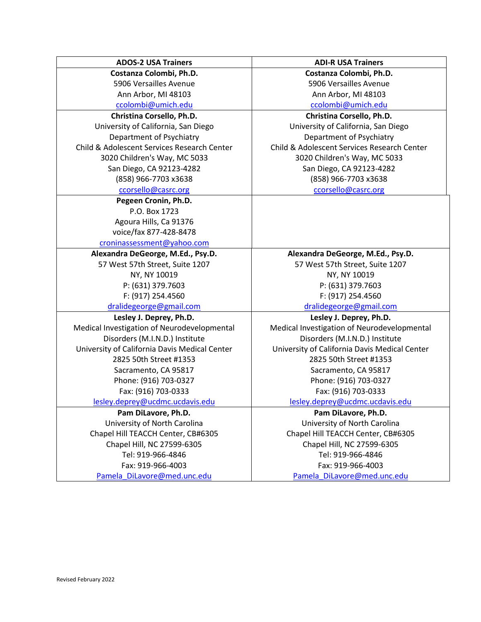|              | <b>ADOS-2 USA Trainers</b>                    |
|--------------|-----------------------------------------------|
|              | Costanza Colombi, Ph.D.                       |
|              | 5906 Versailles Avenue                        |
|              | Ann Arbor, MI 48103                           |
|              | ccolombi@umich.edu                            |
|              | Christina Corsello, Ph.D.                     |
| Unive        | University of California, San Diego           |
| D            | Department of Psychiatry                      |
| Child & Add  | Child & Adolescent Services Research Center   |
| 302          | 3020 Children's Way, MC 5033                  |
| Sa           | San Diego, CA 92123-4282                      |
|              | (858) 966-7703 x3638                          |
|              | ccorsello@casrc.org                           |
|              | Pegeen Cronin, Ph.D.                          |
|              | P.O. Box 1723                                 |
|              | Agoura Hills, Ca 91376                        |
|              | voice/fax 877-428-8478                        |
|              | croninassessment@yahoo.com                    |
| Alexar       | Alexandra DeGeorge, M.Ed., Psy.D.             |
| 57 V         | 57 West 57th Street, Suite 1207               |
|              | NY, NY 10019                                  |
|              | P: (631) 379.7603                             |
|              | F: (917) 254.4560                             |
| $\mathsf{d}$ | dralidegeorge@gmail.com                       |
|              | Lesley J. Deprey, Ph.D.                       |
| Medical Inv  | Medical Investigation of Neurodevelopmental   |
| Dis          | Disorders (M.I.N.D.) Institute                |
| University   | University of California Davis Medical Center |
|              | 2825 50th Street #1353                        |
|              | Sacramento, CA 95817                          |
|              | Phone: (916) 703-0327                         |
|              | Fax: (916) 703-0333                           |
| lesley       | lesley.deprey@ucdmc.ucdavis.edu               |
|              | Pam DiLavore, Ph.D.                           |
| Ur           | University of North Carolina                  |
| Chapel       | Chapel Hill TEACCH Center, CB#6305            |
| Cł           | Chapel Hill, NC 27599-6305                    |
|              | Tel: 919-966-4846                             |
|              | Fax: 919-966-4003                             |
| Pam          | Pamela DiLavore@med.unc.edu                   |
|              |                                               |

**ADI-R USA Trainers Costanza Colombi, Ph.D.** 5906 Versailles Avenue Ann Arbor, MI 48103 [ccolombi@umich.edu](mailto:ccolombi@umich.edu) **Christina Corsello, Ph.D.** rsity of California, San Diego

epartment of Psychiatry olescent Services Research Center 0 Children's Way, MC 5033 an Diego, CA 92123-4282 (858) 966-7703 x3638 [ccorsello@casrc.org](mailto:ccorsello@casrc.org)

**Alexandra DeGeorge, M.Ed., Psy.D.** 57 West 57th Street, Suite 1207 NY, NY 10019 P: (631) 379.7603 F: (917) 254.4560 ralidegeorge@gmail.com

**Lesley J. Deprey, Ph.D.** vestigation of Neurodevelopmental sorders (M.I.N.D.) Institute of California Davis Medical Center 2825 50th Street #1353 Sacramento, CA 95817 Phone: (916) 703-0327 Fax: (916) 703-0333

deprey@ucdmc.ucdavis.edu

**Pam DiLavore, Ph.D.**  niversity of North Carolina Hill TEACCH Center, CB#6305 hapel Hill, NC 27599-6305 Tel: 919-966-4846 Fax: 919-966-4003 ela DiLavore@med.unc.edu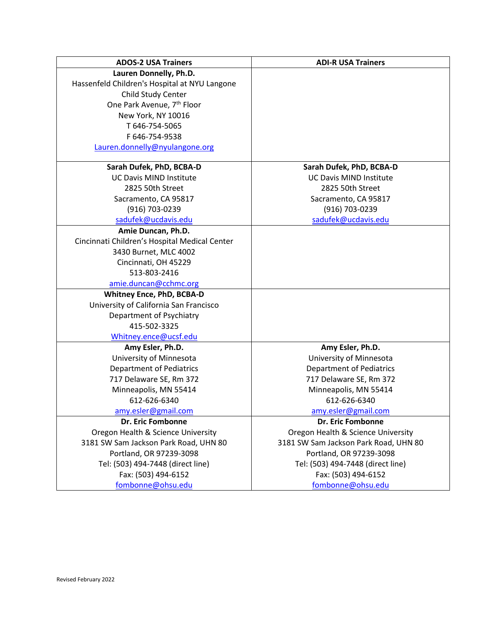| <b>ADOS-2 USA Trainers</b>                    | <b>ADI-R USA Trainers</b>             |
|-----------------------------------------------|---------------------------------------|
| Lauren Donnelly, Ph.D.                        |                                       |
| Hassenfeld Children's Hospital at NYU Langone |                                       |
| Child Study Center                            |                                       |
| One Park Avenue, 7 <sup>th</sup> Floor        |                                       |
| New York, NY 10016                            |                                       |
| T 646-754-5065                                |                                       |
| F 646-754-9538                                |                                       |
| Lauren.donnelly@nyulangone.org                |                                       |
|                                               |                                       |
| Sarah Dufek, PhD, BCBA-D                      | Sarah Dufek, PhD, BCBA-D              |
| <b>UC Davis MIND Institute</b>                | <b>UC Davis MIND Institute</b>        |
| 2825 50th Street                              | 2825 50th Street                      |
| Sacramento, CA 95817                          | Sacramento, CA 95817                  |
| (916) 703-0239                                | (916) 703-0239                        |
| sadufek@ucdavis.edu                           | sadufek@ucdavis.edu                   |
| Amie Duncan, Ph.D.                            |                                       |
| Cincinnati Children's Hospital Medical Center |                                       |
| 3430 Burnet, MLC 4002                         |                                       |
| Cincinnati, OH 45229                          |                                       |
| 513-803-2416                                  |                                       |
| amie.duncan@cchmc.org                         |                                       |
| Whitney Ence, PhD, BCBA-D                     |                                       |
| University of California San Francisco        |                                       |
| Department of Psychiatry                      |                                       |
| 415-502-3325                                  |                                       |
| Whitney.ence@ucsf.edu                         |                                       |
| Amy Esler, Ph.D.                              | Amy Esler, Ph.D.                      |
| University of Minnesota                       | University of Minnesota               |
| <b>Department of Pediatrics</b>               | <b>Department of Pediatrics</b>       |
| 717 Delaware SE, Rm 372                       | 717 Delaware SE, Rm 372               |
| Minneapolis, MN 55414                         | Minneapolis, MN 55414                 |
| 612-626-6340                                  | 612-626-6340                          |
| amy.esler@gmail.com                           | amy.esler@gmail.com                   |
| <b>Dr. Eric Fombonne</b>                      | <b>Dr. Eric Fombonne</b>              |
| Oregon Health & Science University            | Oregon Health & Science University    |
| 3181 SW Sam Jackson Park Road, UHN 80         | 3181 SW Sam Jackson Park Road, UHN 80 |
| Portland, OR 97239-3098                       | Portland, OR 97239-3098               |
| Tel: (503) 494-7448 (direct line)             | Tel: (503) 494-7448 (direct line)     |
| Fax: (503) 494-6152                           | Fax: (503) 494-6152                   |
| fombonne@ohsu.edu                             | fombonne@ohsu.edu                     |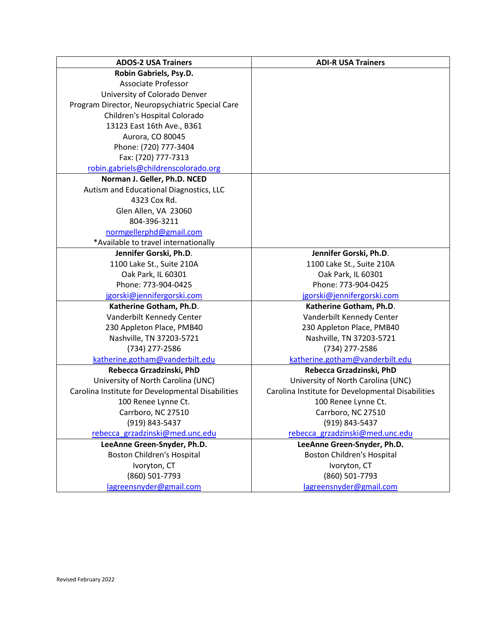| <b>ADOS-2 USA Trainers</b>                        | <b>ADI-R USA Trainers</b>                         |
|---------------------------------------------------|---------------------------------------------------|
| Robin Gabriels, Psy.D.                            |                                                   |
| <b>Associate Professor</b>                        |                                                   |
| University of Colorado Denver                     |                                                   |
| Program Director, Neuropsychiatric Special Care   |                                                   |
| Children's Hospital Colorado                      |                                                   |
| 13123 East 16th Ave., B361                        |                                                   |
| Aurora, CO 80045                                  |                                                   |
| Phone: (720) 777-3404                             |                                                   |
| Fax: (720) 777-7313                               |                                                   |
| robin.gabriels@childrenscolorado.org              |                                                   |
| Norman J. Geller, Ph.D. NCED                      |                                                   |
| Autism and Educational Diagnostics, LLC           |                                                   |
| 4323 Cox Rd.                                      |                                                   |
| Glen Allen, VA 23060                              |                                                   |
| 804-396-3211                                      |                                                   |
| normgellerphd@gmail.com                           |                                                   |
| *Available to travel internationally              |                                                   |
| Jennifer Gorski, Ph.D.                            | Jennifer Gorski, Ph.D.                            |
| 1100 Lake St., Suite 210A                         | 1100 Lake St., Suite 210A                         |
| Oak Park, IL 60301                                | Oak Park, IL 60301                                |
| Phone: 773-904-0425                               | Phone: 773-904-0425                               |
| jgorski@jennifergorski.com                        | jgorski@jennifergorski.com                        |
| Katherine Gotham, Ph.D.                           | Katherine Gotham, Ph.D.                           |
| Vanderbilt Kennedy Center                         | Vanderbilt Kennedy Center                         |
| 230 Appleton Place, PMB40                         | 230 Appleton Place, PMB40                         |
| Nashville, TN 37203-5721                          | Nashville, TN 37203-5721                          |
| (734) 277-2586                                    | (734) 277-2586                                    |
| katherine.gotham@vanderbilt.edu                   | katherine.gotham@vanderbilt.edu                   |
| Rebecca Grzadzinski, PhD                          | Rebecca Grzadzinski, PhD                          |
| University of North Carolina (UNC)                | University of North Carolina (UNC)                |
| Carolina Institute for Developmental Disabilities | Carolina Institute for Developmental Disabilities |
| 100 Renee Lynne Ct.                               | 100 Renee Lynne Ct.                               |
| Carrboro, NC 27510                                | Carrboro, NC 27510                                |
| (919) 843-5437                                    | (919) 843-5437                                    |
| rebecca grzadzinski@med.unc.edu                   | rebecca grzadzinski@med.unc.edu                   |
| LeeAnne Green-Snyder, Ph.D.                       | LeeAnne Green-Snyder, Ph.D.                       |
| <b>Boston Children's Hospital</b>                 | <b>Boston Children's Hospital</b>                 |
| Ivoryton, CT                                      | Ivoryton, CT                                      |
| (860) 501-7793                                    | (860) 501-7793                                    |
| lagreensnyder@gmail.com                           | lagreensnyder@gmail.com                           |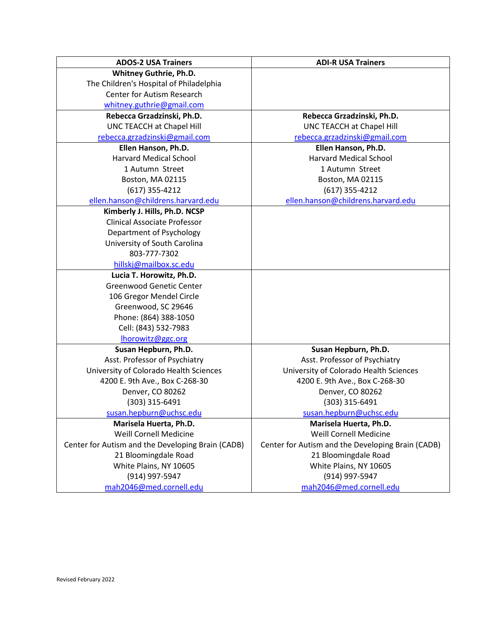| <b>ADOS-2 USA Trainers</b>                        | <b>ADI-R USA Trainers</b>                         |
|---------------------------------------------------|---------------------------------------------------|
| <b>Whitney Guthrie, Ph.D.</b>                     |                                                   |
| The Children's Hospital of Philadelphia           |                                                   |
| Center for Autism Research                        |                                                   |
| whitney.guthrie@gmail.com                         |                                                   |
| Rebecca Grzadzinski, Ph.D.                        | Rebecca Grzadzinski, Ph.D.                        |
| UNC TEACCH at Chapel Hill                         | UNC TEACCH at Chapel Hill                         |
| rebecca.grzadzinski@gmail.com                     | rebecca.grzadzinski@gmail.com                     |
| Ellen Hanson, Ph.D.                               | Ellen Hanson, Ph.D.                               |
| <b>Harvard Medical School</b>                     | <b>Harvard Medical School</b>                     |
| 1 Autumn Street                                   | 1 Autumn Street                                   |
| Boston, MA 02115                                  | Boston, MA 02115                                  |
| $(617)$ 355-4212                                  | $(617)$ 355-4212                                  |
| ellen.hanson@childrens.harvard.edu                | ellen.hanson@childrens.harvard.edu                |
| Kimberly J. Hills, Ph.D. NCSP                     |                                                   |
| <b>Clinical Associate Professor</b>               |                                                   |
| Department of Psychology                          |                                                   |
| University of South Carolina                      |                                                   |
| 803-777-7302                                      |                                                   |
| hillskj@mailbox.sc.edu                            |                                                   |
| Lucia T. Horowitz, Ph.D.                          |                                                   |
| <b>Greenwood Genetic Center</b>                   |                                                   |
| 106 Gregor Mendel Circle                          |                                                   |
| Greenwood, SC 29646                               |                                                   |
| Phone: (864) 388-1050                             |                                                   |
| Cell: (843) 532-7983                              |                                                   |
| Ihorowitz@ggc.org                                 |                                                   |
| Susan Hepburn, Ph.D.                              | Susan Hepburn, Ph.D.                              |
| Asst. Professor of Psychiatry                     | Asst. Professor of Psychiatry                     |
| University of Colorado Health Sciences            | University of Colorado Health Sciences            |
| 4200 E. 9th Ave., Box C-268-30                    | 4200 E. 9th Ave., Box C-268-30                    |
| Denver, CO 80262                                  | Denver, CO 80262                                  |
| (303) 315-6491                                    | (303) 315-6491                                    |
| susan.hepburn@uchsc.edu                           | susan.hepburn@uchsc.edu                           |
| Marisela Huerta, Ph.D.                            | Marisela Huerta, Ph.D.                            |
| <b>Weill Cornell Medicine</b>                     | Weill Cornell Medicine                            |
| Center for Autism and the Developing Brain (CADB) | Center for Autism and the Developing Brain (CADB) |
| 21 Bloomingdale Road                              | 21 Bloomingdale Road                              |
| White Plains, NY 10605                            | White Plains, NY 10605                            |
| (914) 997-5947                                    | (914) 997-5947                                    |
| mah2046@med.cornell.edu                           | mah2046@med.cornell.edu                           |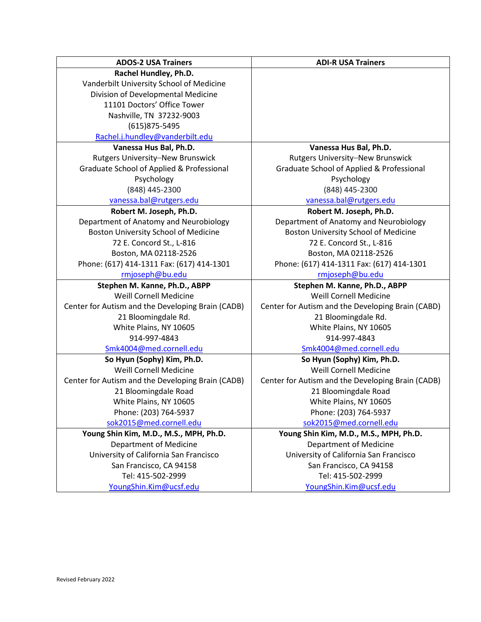| <b>ADOS-2 USA Trainers</b>                        | <b>ADI-R USA Trainers</b>                         |
|---------------------------------------------------|---------------------------------------------------|
| Rachel Hundley, Ph.D.                             |                                                   |
| Vanderbilt University School of Medicine          |                                                   |
| Division of Developmental Medicine                |                                                   |
| 11101 Doctors' Office Tower                       |                                                   |
| Nashville, TN 37232-9003                          |                                                   |
| (615) 875-5495                                    |                                                   |
| Rachel.j.hundley@vanderbilt.edu                   |                                                   |
| Vanessa Hus Bal, Ph.D.                            | Vanessa Hus Bal, Ph.D.                            |
| Rutgers University-New Brunswick                  | Rutgers University-New Brunswick                  |
| Graduate School of Applied & Professional         | Graduate School of Applied & Professional         |
| Psychology                                        | Psychology                                        |
| (848) 445-2300                                    | (848) 445-2300                                    |
| vanessa.bal@rutgers.edu                           | vanessa.bal@rutgers.edu                           |
| Robert M. Joseph, Ph.D.                           | Robert M. Joseph, Ph.D.                           |
| Department of Anatomy and Neurobiology            | Department of Anatomy and Neurobiology            |
| Boston University School of Medicine              | Boston University School of Medicine              |
| 72 E. Concord St., L-816                          | 72 E. Concord St., L-816                          |
| Boston, MA 02118-2526                             | Boston, MA 02118-2526                             |
| Phone: (617) 414-1311 Fax: (617) 414-1301         | Phone: (617) 414-1311 Fax: (617) 414-1301         |
| rmjoseph@bu.edu                                   | rmjoseph@bu.edu                                   |
| Stephen M. Kanne, Ph.D., ABPP                     | Stephen M. Kanne, Ph.D., ABPP                     |
| Weill Cornell Medicine                            | Weill Cornell Medicine                            |
| Center for Autism and the Developing Brain (CADB) | Center for Autism and the Developing Brain (CABD) |
| 21 Bloomingdale Rd.                               | 21 Bloomingdale Rd.                               |
| White Plains, NY 10605                            | White Plains, NY 10605                            |
| 914-997-4843                                      | 914-997-4843                                      |
| Smk4004@med.cornell.edu                           | Smk4004@med.cornell.edu                           |
| So Hyun (Sophy) Kim, Ph.D.                        | So Hyun (Sophy) Kim, Ph.D.                        |
| Weill Cornell Medicine                            | Weill Cornell Medicine                            |
| Center for Autism and the Developing Brain (CADB) | Center for Autism and the Developing Brain (CADB) |
| 21 Bloomingdale Road                              | 21 Bloomingdale Road                              |
| White Plains, NY 10605                            | White Plains, NY 10605                            |
| Phone: (203) 764-5937                             | Phone: (203) 764-5937                             |
| sok2015@med.cornell.edu                           | sok2015@med.cornell.edu                           |
| Young Shin Kim, M.D., M.S., MPH, Ph.D.            | Young Shin Kim, M.D., M.S., MPH, Ph.D.            |
| <b>Department of Medicine</b>                     | <b>Department of Medicine</b>                     |
| University of California San Francisco            | University of California San Francisco            |
| San Francisco, CA 94158                           | San Francisco, CA 94158                           |
| Tel: 415-502-2999                                 | Tel: 415-502-2999                                 |
| YoungShin.Kim@ucsf.edu                            | YoungShin.Kim@ucsf.edu                            |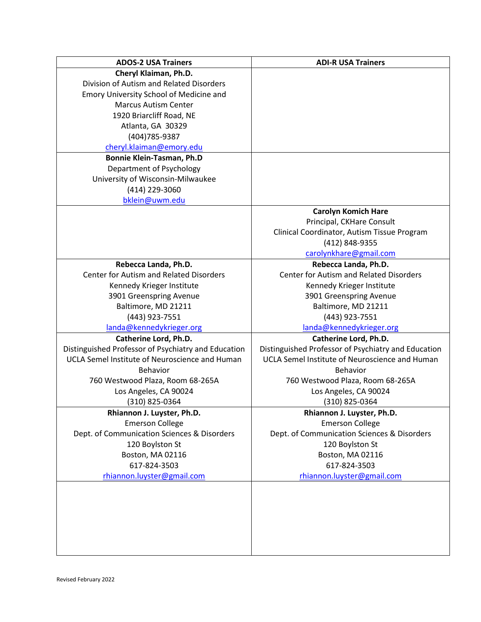| <b>ADOS-2 USA Trainers</b>                          | <b>ADI-R USA Trainers</b>                           |
|-----------------------------------------------------|-----------------------------------------------------|
| Cheryl Klaiman, Ph.D.                               |                                                     |
| Division of Autism and Related Disorders            |                                                     |
| Emory University School of Medicine and             |                                                     |
| <b>Marcus Autism Center</b>                         |                                                     |
| 1920 Briarcliff Road, NE                            |                                                     |
| Atlanta, GA 30329                                   |                                                     |
| (404) 785-9387                                      |                                                     |
| cheryl.klaiman@emory.edu                            |                                                     |
| <b>Bonnie Klein-Tasman, Ph.D</b>                    |                                                     |
|                                                     |                                                     |
| Department of Psychology                            |                                                     |
| University of Wisconsin-Milwaukee                   |                                                     |
| (414) 229-3060                                      |                                                     |
| bklein@uwm.edu                                      |                                                     |
|                                                     | <b>Carolyn Komich Hare</b>                          |
|                                                     | Principal, CKHare Consult                           |
|                                                     | Clinical Coordinator, Autism Tissue Program         |
|                                                     | (412) 848-9355                                      |
|                                                     | carolynkhare@gmail.com                              |
| Rebecca Landa, Ph.D.                                | Rebecca Landa, Ph.D.                                |
| <b>Center for Autism and Related Disorders</b>      | Center for Autism and Related Disorders             |
| Kennedy Krieger Institute                           | Kennedy Krieger Institute                           |
| 3901 Greenspring Avenue                             | 3901 Greenspring Avenue                             |
| Baltimore, MD 21211                                 | Baltimore, MD 21211                                 |
| (443) 923-7551                                      | (443) 923-7551                                      |
| landa@kennedykrieger.org                            | landa@kennedykrieger.org                            |
| Catherine Lord, Ph.D.                               | Catherine Lord, Ph.D.                               |
| Distinguished Professor of Psychiatry and Education | Distinguished Professor of Psychiatry and Education |
| UCLA Semel Institute of Neuroscience and Human      | UCLA Semel Institute of Neuroscience and Human      |
| <b>Behavior</b>                                     | <b>Behavior</b>                                     |
| 760 Westwood Plaza, Room 68-265A                    | 760 Westwood Plaza, Room 68-265A                    |
| Los Angeles, CA 90024                               | Los Angeles, CA 90024                               |
| (310) 825-0364                                      | (310) 825-0364                                      |
| Rhiannon J. Luyster, Ph.D.                          | Rhiannon J. Luyster, Ph.D.                          |
| <b>Emerson College</b>                              | <b>Emerson College</b>                              |
| Dept. of Communication Sciences & Disorders         | Dept. of Communication Sciences & Disorders         |
| 120 Boylston St                                     | 120 Boylston St                                     |
|                                                     |                                                     |
| Boston, MA 02116<br>617-824-3503                    | Boston, MA 02116<br>617-824-3503                    |
|                                                     |                                                     |
| rhiannon.luyster@gmail.com                          | rhiannon.luyster@gmail.com                          |
|                                                     |                                                     |
|                                                     |                                                     |
|                                                     |                                                     |
|                                                     |                                                     |
|                                                     |                                                     |
|                                                     |                                                     |
|                                                     |                                                     |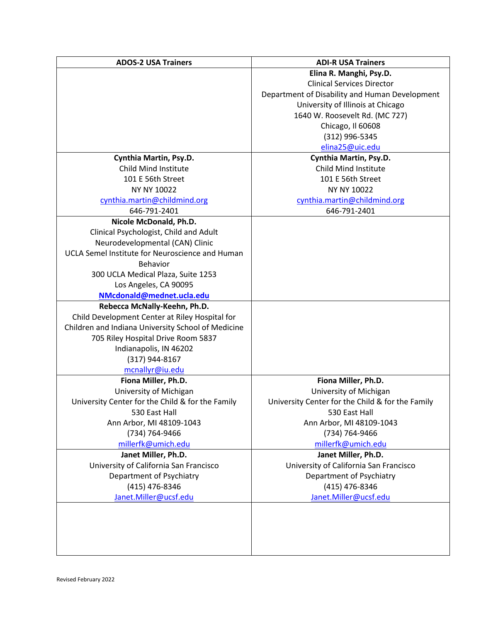| <b>ADOS-2 USA Trainers</b>                         | <b>ADI-R USA Trainers</b>                        |
|----------------------------------------------------|--------------------------------------------------|
|                                                    | Elina R. Manghi, Psy.D.                          |
|                                                    | <b>Clinical Services Director</b>                |
|                                                    | Department of Disability and Human Development   |
|                                                    | University of Illinois at Chicago                |
|                                                    | 1640 W. Roosevelt Rd. (MC 727)                   |
|                                                    | Chicago, Il 60608                                |
|                                                    | (312) 996-5345                                   |
|                                                    | elina25@uic.edu                                  |
| Cynthia Martin, Psy.D.                             | Cynthia Martin, Psy.D.                           |
| <b>Child Mind Institute</b>                        | Child Mind Institute                             |
| 101 E 56th Street                                  | 101 E 56th Street                                |
| NY NY 10022                                        | NY NY 10022                                      |
| cynthia.martin@childmind.org                       | cynthia.martin@childmind.org                     |
| 646-791-2401                                       | 646-791-2401                                     |
| Nicole McDonald, Ph.D.                             |                                                  |
| Clinical Psychologist, Child and Adult             |                                                  |
| Neurodevelopmental (CAN) Clinic                    |                                                  |
| UCLA Semel Institute for Neuroscience and Human    |                                                  |
| <b>Behavior</b>                                    |                                                  |
| 300 UCLA Medical Plaza, Suite 1253                 |                                                  |
| Los Angeles, CA 90095                              |                                                  |
| NMcdonald@mednet.ucla.edu                          |                                                  |
| Rebecca McNally-Keehn, Ph.D.                       |                                                  |
| Child Development Center at Riley Hospital for     |                                                  |
| Children and Indiana University School of Medicine |                                                  |
| 705 Riley Hospital Drive Room 5837                 |                                                  |
| Indianapolis, IN 46202                             |                                                  |
| (317) 944-8167                                     |                                                  |
| mcnallyr@iu.edu                                    |                                                  |
| Fiona Miller, Ph.D.                                | Fiona Miller, Ph.D.                              |
| University of Michigan                             | University of Michigan                           |
| University Center for the Child & for the Family   | University Center for the Child & for the Family |
| 530 East Hall<br>Ann Arbor, MI 48109-1043          | 530 East Hall                                    |
|                                                    | Ann Arbor, MI 48109-1043<br>(734) 764-9466       |
| (734) 764-9466<br>millerfk@umich.edu               | millerfk@umich.edu                               |
| Janet Miller, Ph.D.                                | Janet Miller, Ph.D.                              |
| University of California San Francisco             | University of California San Francisco           |
| Department of Psychiatry                           | Department of Psychiatry                         |
| (415) 476-8346                                     | (415) 476-8346                                   |
| Janet.Miller@ucsf.edu                              | Janet.Miller@ucsf.edu                            |
|                                                    |                                                  |
|                                                    |                                                  |
|                                                    |                                                  |
|                                                    |                                                  |
|                                                    |                                                  |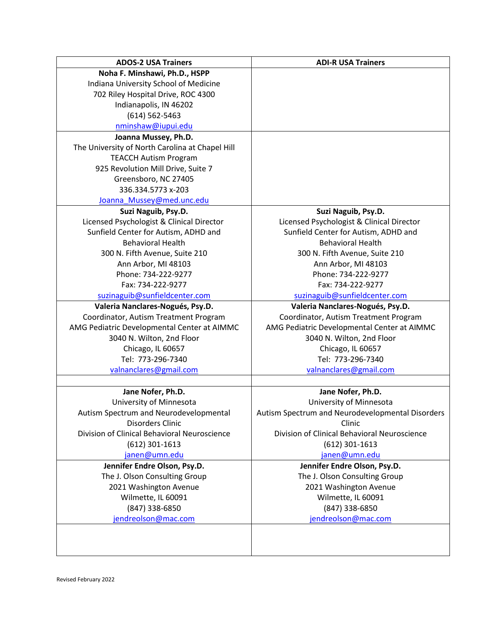| <b>ADOS-2 USA Trainers</b>                      | <b>ADI-R USA Trainers</b>                        |
|-------------------------------------------------|--------------------------------------------------|
| Noha F. Minshawi, Ph.D., HSPP                   |                                                  |
| Indiana University School of Medicine           |                                                  |
| 702 Riley Hospital Drive, ROC 4300              |                                                  |
| Indianapolis, IN 46202                          |                                                  |
| $(614) 562 - 5463$                              |                                                  |
| nminshaw@iupui.edu                              |                                                  |
| Joanna Mussey, Ph.D.                            |                                                  |
| The University of North Carolina at Chapel Hill |                                                  |
| <b>TEACCH Autism Program</b>                    |                                                  |
| 925 Revolution Mill Drive, Suite 7              |                                                  |
| Greensboro, NC 27405                            |                                                  |
| 336.334.5773 x-203                              |                                                  |
| Joanna Mussey@med.unc.edu                       |                                                  |
| Suzi Naguib, Psy.D.                             | Suzi Naguib, Psy.D.                              |
| Licensed Psychologist & Clinical Director       | Licensed Psychologist & Clinical Director        |
| Sunfield Center for Autism, ADHD and            | Sunfield Center for Autism, ADHD and             |
| <b>Behavioral Health</b>                        | <b>Behavioral Health</b>                         |
| 300 N. Fifth Avenue, Suite 210                  | 300 N. Fifth Avenue, Suite 210                   |
| Ann Arbor, MI 48103                             | Ann Arbor, MI 48103                              |
| Phone: 734-222-9277                             | Phone: 734-222-9277                              |
| Fax: 734-222-9277                               | Fax: 734-222-9277                                |
| suzinaguib@sunfieldcenter.com                   | suzinaguib@sunfieldcenter.com                    |
| Valeria Nanclares-Nogués, Psy.D.                | Valeria Nanclares-Nogués, Psy.D.                 |
| Coordinator, Autism Treatment Program           | Coordinator, Autism Treatment Program            |
| AMG Pediatric Developmental Center at AIMMC     | AMG Pediatric Developmental Center at AIMMC      |
| 3040 N. Wilton, 2nd Floor                       | 3040 N. Wilton, 2nd Floor                        |
| Chicago, IL 60657                               | Chicago, IL 60657                                |
| Tel: 773-296-7340                               | Tel: 773-296-7340                                |
| valnanclares@gmail.com                          | valnanclares@gmail.com                           |
|                                                 |                                                  |
| Jane Nofer, Ph.D.                               | Jane Nofer, Ph.D.                                |
| University of Minnesota                         | University of Minnesota                          |
| Autism Spectrum and Neurodevelopmental          | Autism Spectrum and Neurodevelopmental Disorders |
| Disorders Clinic                                | Clinic                                           |
| Division of Clinical Behavioral Neuroscience    | Division of Clinical Behavioral Neuroscience     |
|                                                 | $(612)$ 301-1613                                 |
| $(612)$ 301-1613                                |                                                  |
| janen@umn.edu                                   | janen@umn.edu                                    |
| Jennifer Endre Olson, Psy.D.                    | Jennifer Endre Olson, Psy.D.                     |
| The J. Olson Consulting Group                   | The J. Olson Consulting Group                    |
| 2021 Washington Avenue                          | 2021 Washington Avenue                           |
| Wilmette, IL 60091                              | Wilmette, IL 60091                               |
| (847) 338-6850                                  | (847) 338-6850                                   |
| jendreolson@mac.com                             | jendreolson@mac.com                              |
|                                                 |                                                  |
|                                                 |                                                  |
|                                                 |                                                  |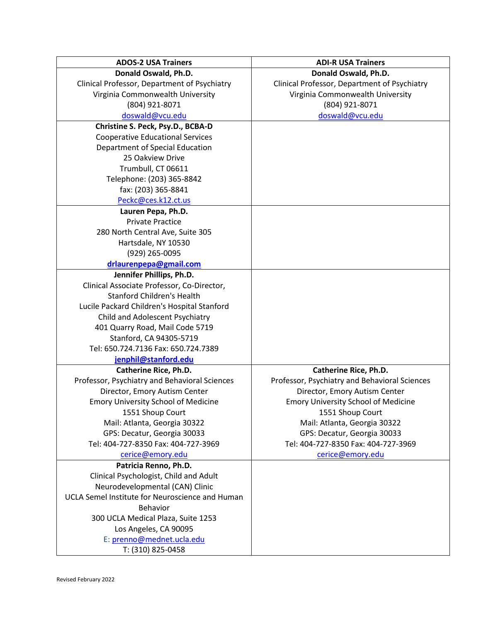| <b>ADOS-2 USA Trainers</b>                                                | <b>ADI-R USA Trainers</b>                     |
|---------------------------------------------------------------------------|-----------------------------------------------|
| Donald Oswald, Ph.D.                                                      | Donald Oswald, Ph.D.                          |
| Clinical Professor, Department of Psychiatry                              | Clinical Professor, Department of Psychiatry  |
| Virginia Commonwealth University                                          | Virginia Commonwealth University              |
| (804) 921-8071                                                            | (804) 921-8071                                |
| doswald@vcu.edu                                                           | doswald@vcu.edu                               |
| Christine S. Peck, Psy.D., BCBA-D                                         |                                               |
| <b>Cooperative Educational Services</b>                                   |                                               |
| Department of Special Education                                           |                                               |
| 25 Oakview Drive                                                          |                                               |
| Trumbull, CT 06611                                                        |                                               |
| Telephone: (203) 365-8842                                                 |                                               |
| fax: (203) 365-8841                                                       |                                               |
| Peckc@ces.k12.ct.us                                                       |                                               |
| Lauren Pepa, Ph.D.                                                        |                                               |
| <b>Private Practice</b>                                                   |                                               |
| 280 North Central Ave, Suite 305                                          |                                               |
| Hartsdale, NY 10530                                                       |                                               |
| (929) 265-0095                                                            |                                               |
| drlaurenpepa@gmail.com                                                    |                                               |
| Jennifer Phillips, Ph.D.                                                  |                                               |
| Clinical Associate Professor, Co-Director,                                |                                               |
| <b>Stanford Children's Health</b>                                         |                                               |
| Lucile Packard Children's Hospital Stanford                               |                                               |
| Child and Adolescent Psychiatry                                           |                                               |
| 401 Quarry Road, Mail Code 5719                                           |                                               |
| Stanford, CA 94305-5719                                                   |                                               |
| Tel: 650.724.7136 Fax: 650.724.7389                                       |                                               |
| jenphil@stanford.edu                                                      |                                               |
| <b>Catherine Rice, Ph.D.</b>                                              | <b>Catherine Rice, Ph.D.</b>                  |
| Professor, Psychiatry and Behavioral Sciences                             | Professor, Psychiatry and Behavioral Sciences |
| Director, Emory Autism Center                                             | Director, Emory Autism Center                 |
| <b>Emory University School of Medicine</b>                                | <b>Emory University School of Medicine</b>    |
| 1551 Shoup Court                                                          | 1551 Shoup Court                              |
| Mail: Atlanta, Georgia 30322                                              | Mail: Atlanta, Georgia 30322                  |
| GPS: Decatur, Georgia 30033<br>Tel: 404-727-8350 Fax: 404-727-3969        | GPS: Decatur, Georgia 30033                   |
|                                                                           | Tel: 404-727-8350 Fax: 404-727-3969           |
| cerice@emory.edu                                                          | cerice@emory.edu                              |
| Patricia Renno, Ph.D.                                                     |                                               |
| Clinical Psychologist, Child and Adult<br>Neurodevelopmental (CAN) Clinic |                                               |
| UCLA Semel Institute for Neuroscience and Human                           |                                               |
| <b>Behavior</b>                                                           |                                               |
| 300 UCLA Medical Plaza, Suite 1253                                        |                                               |
| Los Angeles, CA 90095                                                     |                                               |
| E: prenno@mednet.ucla.edu                                                 |                                               |
| T: (310) 825-0458                                                         |                                               |
|                                                                           |                                               |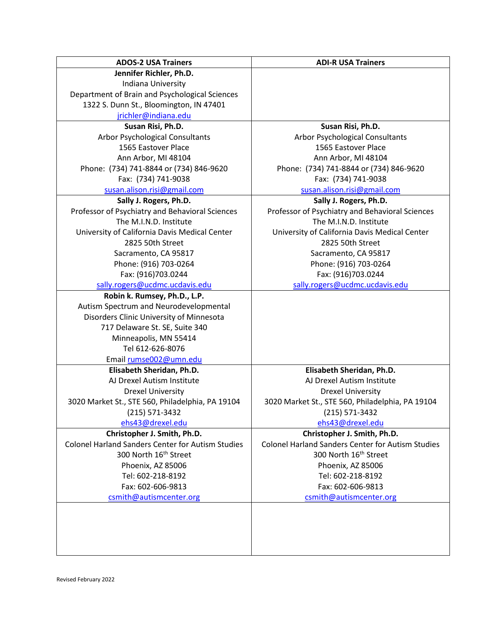| <b>ADOS-2 USA Trainers</b>                               | <b>ADI-R USA Trainers</b>                                |
|----------------------------------------------------------|----------------------------------------------------------|
| Jennifer Richler, Ph.D.                                  |                                                          |
| Indiana University                                       |                                                          |
| Department of Brain and Psychological Sciences           |                                                          |
| 1322 S. Dunn St., Bloomington, IN 47401                  |                                                          |
| jrichler@indiana.edu                                     |                                                          |
| Susan Risi, Ph.D.                                        | Susan Risi, Ph.D.                                        |
| <b>Arbor Psychological Consultants</b>                   | Arbor Psychological Consultants                          |
| 1565 Eastover Place                                      | 1565 Eastover Place                                      |
| Ann Arbor, MI 48104                                      | Ann Arbor, MI 48104                                      |
| Phone: (734) 741-8844 or (734) 846-9620                  | Phone: (734) 741-8844 or (734) 846-9620                  |
| Fax: (734) 741-9038                                      | Fax: (734) 741-9038                                      |
| susan.alison.risi@gmail.com                              | susan.alison.risi@gmail.com                              |
| Sally J. Rogers, Ph.D.                                   | Sally J. Rogers, Ph.D.                                   |
| Professor of Psychiatry and Behavioral Sciences          | Professor of Psychiatry and Behavioral Sciences          |
| The M.I.N.D. Institute                                   | The M.I.N.D. Institute                                   |
| University of California Davis Medical Center            | University of California Davis Medical Center            |
| 2825 50th Street                                         | 2825 50th Street                                         |
| Sacramento, CA 95817                                     | Sacramento, CA 95817                                     |
| Phone: (916) 703-0264                                    | Phone: (916) 703-0264                                    |
| Fax: (916)703.0244                                       | Fax: (916)703.0244                                       |
| sally.rogers@ucdmc.ucdavis.edu                           | sally.rogers@ucdmc.ucdavis.edu                           |
| Robin k. Rumsey, Ph.D., L.P.                             |                                                          |
| Autism Spectrum and Neurodevelopmental                   |                                                          |
| Disorders Clinic University of Minnesota                 |                                                          |
| 717 Delaware St. SE, Suite 340                           |                                                          |
| Minneapolis, MN 55414                                    |                                                          |
| Tel 612-626-8076                                         |                                                          |
| Email rumse002@umn.edu                                   |                                                          |
| Elisabeth Sheridan, Ph.D.                                | Elisabeth Sheridan, Ph.D.                                |
| AJ Drexel Autism Institute                               | AJ Drexel Autism Institute                               |
| <b>Drexel University</b>                                 | <b>Drexel University</b>                                 |
| 3020 Market St., STE 560, Philadelphia, PA 19104         | 3020 Market St., STE 560, Philadelphia, PA 19104         |
| (215) 571-3432                                           | (215) 571-3432                                           |
| ehs43@drexel.edu                                         | ehs43@drexel.edu                                         |
| Christopher J. Smith, Ph.D.                              | Christopher J. Smith, Ph.D.                              |
| <b>Colonel Harland Sanders Center for Autism Studies</b> | <b>Colonel Harland Sanders Center for Autism Studies</b> |
| 300 North 16 <sup>th</sup> Street                        | 300 North 16 <sup>th</sup> Street                        |
| Phoenix, AZ 85006                                        | Phoenix, AZ 85006                                        |
| Tel: 602-218-8192                                        | Tel: 602-218-8192                                        |
| Fax: 602-606-9813                                        | Fax: 602-606-9813                                        |
| csmith@autismcenter.org                                  | csmith@autismcenter.org                                  |
|                                                          |                                                          |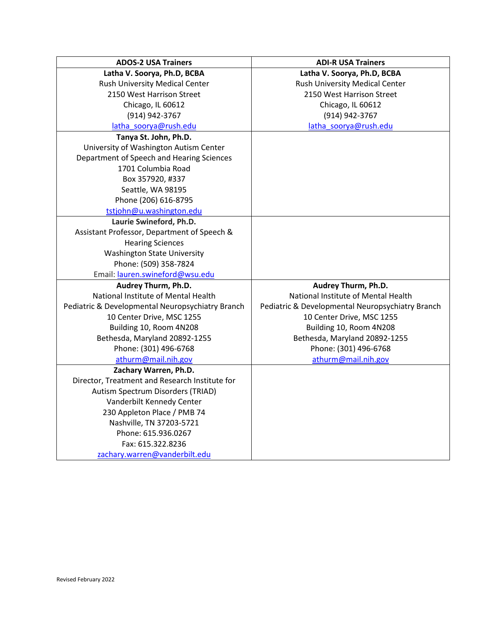| <b>ADOS-2 USA Trainers</b>                       | <b>ADI-R USA Trainers</b>                        |
|--------------------------------------------------|--------------------------------------------------|
| Latha V. Soorya, Ph.D, BCBA                      | Latha V. Soorya, Ph.D, BCBA                      |
| Rush University Medical Center                   | Rush University Medical Center                   |
| 2150 West Harrison Street                        | 2150 West Harrison Street                        |
| Chicago, IL 60612                                | Chicago, IL 60612                                |
| (914) 942-3767                                   | (914) 942-3767                                   |
| latha_soorya@rush.edu                            | latha_soorya@rush.edu                            |
| Tanya St. John, Ph.D.                            |                                                  |
| University of Washington Autism Center           |                                                  |
| Department of Speech and Hearing Sciences        |                                                  |
| 1701 Columbia Road                               |                                                  |
| Box 357920, #337                                 |                                                  |
| Seattle, WA 98195                                |                                                  |
| Phone (206) 616-8795                             |                                                  |
| tstjohn@u.washington.edu                         |                                                  |
| Laurie Swineford, Ph.D.                          |                                                  |
| Assistant Professor, Department of Speech &      |                                                  |
| <b>Hearing Sciences</b>                          |                                                  |
| <b>Washington State University</b>               |                                                  |
| Phone: (509) 358-7824                            |                                                  |
| Email: lauren.swineford@wsu.edu                  |                                                  |
| Audrey Thurm, Ph.D.                              | Audrey Thurm, Ph.D.                              |
| National Institute of Mental Health              | National Institute of Mental Health              |
| Pediatric & Developmental Neuropsychiatry Branch | Pediatric & Developmental Neuropsychiatry Branch |
| 10 Center Drive, MSC 1255                        | 10 Center Drive, MSC 1255                        |
| Building 10, Room 4N208                          | Building 10, Room 4N208                          |
| Bethesda, Maryland 20892-1255                    | Bethesda, Maryland 20892-1255                    |
| Phone: (301) 496-6768                            | Phone: (301) 496-6768                            |
| athurm@mail.nih.gov                              | athurm@mail.nih.gov                              |
| Zachary Warren, Ph.D.                            |                                                  |
| Director, Treatment and Research Institute for   |                                                  |
| Autism Spectrum Disorders (TRIAD)                |                                                  |
| Vanderbilt Kennedy Center                        |                                                  |
| 230 Appleton Place / PMB 74                      |                                                  |
| Nashville, TN 37203-5721                         |                                                  |
| Phone: 615.936.0267                              |                                                  |
| Fax: 615.322.8236                                |                                                  |
| zachary.warren@vanderbilt.edu                    |                                                  |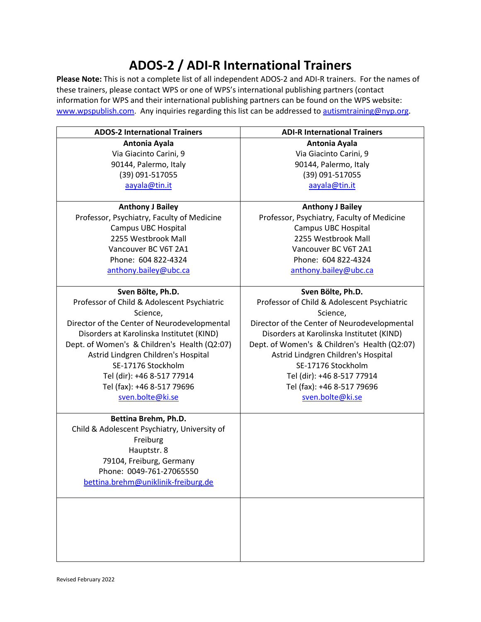## **ADOS-2 / ADI-R International Trainers**

**Please Note:** This is not a complete list of all independent ADOS-2 and ADI-R trainers. For the names of these trainers, please contact WPS or one of WPS's international publishing partners (contact information for WPS and their international publishing partners can be found on the WPS website: [www.wpspublish.com.](https://urldefense.com/v3/__http:/www.wpspublish.com__;!!LQC6Cpwp!9iMpMoW3tMZrdezAI5bReHh9tvcIwW37HHBevIddTFABOm5Zu4pjG-yJH1C0hiOZ4tM$) Any inquiries regarding this list can be addressed to [autismtraining@nyp.org.](mailto:autismtraining@nyp.org)

| <b>ADOS-2 International Trainers</b>         | <b>ADI-R International Trainers</b>          |
|----------------------------------------------|----------------------------------------------|
| Antonia Ayala                                | Antonia Ayala                                |
| Via Giacinto Carini, 9                       | Via Giacinto Carini, 9                       |
| 90144, Palermo, Italy                        | 90144, Palermo, Italy                        |
| (39) 091-517055                              | (39) 091-517055                              |
| aayala@tin.it                                | aayala@tin.it                                |
|                                              |                                              |
| <b>Anthony J Bailey</b>                      | <b>Anthony J Bailey</b>                      |
| Professor, Psychiatry, Faculty of Medicine   | Professor, Psychiatry, Faculty of Medicine   |
| <b>Campus UBC Hospital</b>                   | <b>Campus UBC Hospital</b>                   |
| 2255 Westbrook Mall                          | 2255 Westbrook Mall                          |
| Vancouver BC V6T 2A1                         | Vancouver BC V6T 2A1                         |
| Phone: 604 822-4324                          | Phone: 604 822-4324                          |
| anthony.bailey@ubc.ca                        | anthony.bailey@ubc.ca                        |
|                                              |                                              |
| Sven Bölte, Ph.D.                            | Sven Bölte, Ph.D.                            |
| Professor of Child & Adolescent Psychiatric  | Professor of Child & Adolescent Psychiatric  |
| Science,                                     | Science,                                     |
| Director of the Center of Neurodevelopmental | Director of the Center of Neurodevelopmental |
| Disorders at Karolinska Institutet (KIND)    | Disorders at Karolinska Institutet (KIND)    |
| Dept. of Women's & Children's Health (Q2:07) | Dept. of Women's & Children's Health (Q2:07) |
| Astrid Lindgren Children's Hospital          | Astrid Lindgren Children's Hospital          |
| SE-17176 Stockholm                           | SE-17176 Stockholm                           |
| Tel (dir): +46 8-517 77914                   | Tel (dir): +46 8-517 77914                   |
| Tel (fax): +46 8-517 79696                   | Tel (fax): +46 8-517 79696                   |
| sven.bolte@ki.se                             | sven.bolte@ki.se                             |
|                                              |                                              |
| Bettina Brehm, Ph.D.                         |                                              |
| Child & Adolescent Psychiatry, University of |                                              |
| Freiburg                                     |                                              |
| Hauptstr. 8                                  |                                              |
| 79104, Freiburg, Germany                     |                                              |
| Phone: 0049-761-27065550                     |                                              |
| bettina.brehm@uniklinik-freiburg.de          |                                              |
|                                              |                                              |
|                                              |                                              |
|                                              |                                              |
|                                              |                                              |
|                                              |                                              |
|                                              |                                              |
|                                              |                                              |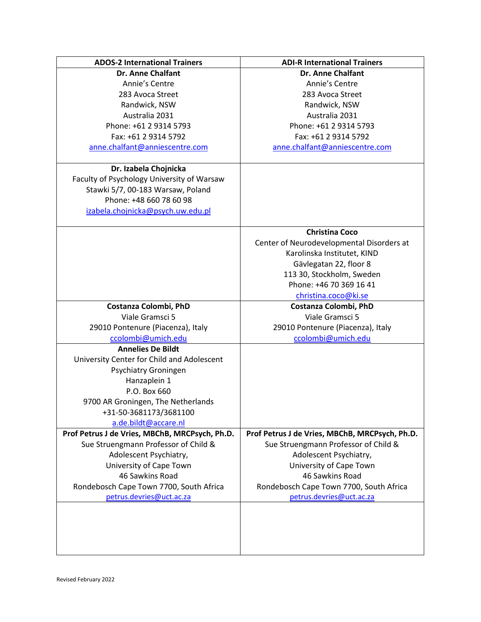| <b>ADOS-2 International Trainers</b>           | <b>ADI-R International Trainers</b>                                |
|------------------------------------------------|--------------------------------------------------------------------|
| <b>Dr. Anne Chalfant</b>                       | <b>Dr. Anne Chalfant</b>                                           |
| Annie's Centre                                 | Annie's Centre                                                     |
| 283 Avoca Street                               | 283 Avoca Street                                                   |
| Randwick, NSW                                  | Randwick, NSW                                                      |
| Australia 2031                                 | Australia 2031                                                     |
| Phone: +61 2 9314 5793                         | Phone: +61 2 9314 5793                                             |
| Fax: +61 2 9314 5792                           | Fax: +61 2 9314 5792                                               |
| anne.chalfant@anniescentre.com                 | anne.chalfant@anniescentre.com                                     |
|                                                |                                                                    |
| Dr. Izabela Chojnicka                          |                                                                    |
| Faculty of Psychology University of Warsaw     |                                                                    |
| Stawki 5/7, 00-183 Warsaw, Poland              |                                                                    |
| Phone: +48 660 78 60 98                        |                                                                    |
| izabela.chojnicka@psych.uw.edu.pl              |                                                                    |
|                                                |                                                                    |
|                                                | <b>Christina Coco</b><br>Center of Neurodevelopmental Disorders at |
|                                                |                                                                    |
|                                                | Karolinska Institutet, KIND                                        |
|                                                | Gävlegatan 22, floor 8                                             |
|                                                | 113 30, Stockholm, Sweden<br>Phone: +46 70 369 16 41               |
|                                                |                                                                    |
|                                                | christina.coco@ki.se                                               |
| Costanza Colombi, PhD<br>Viale Gramsci 5       | Costanza Colombi, PhD<br>Viale Gramsci 5                           |
| 29010 Pontenure (Piacenza), Italy              | 29010 Pontenure (Piacenza), Italy                                  |
| ccolombi@umich.edu                             | ccolombi@umich.edu                                                 |
| <b>Annelies De Bildt</b>                       |                                                                    |
| University Center for Child and Adolescent     |                                                                    |
| Psychiatry Groningen                           |                                                                    |
| Hanzaplein 1                                   |                                                                    |
| P.O. Box 660                                   |                                                                    |
| 9700 AR Groningen, The Netherlands             |                                                                    |
| +31-50-3681173/3681100                         |                                                                    |
| a.de.bildt@accare.nl                           |                                                                    |
| Prof Petrus J de Vries, MBChB, MRCPsych, Ph.D. | Prof Petrus J de Vries, MBChB, MRCPsych, Ph.D.                     |
| Sue Struengmann Professor of Child &           | Sue Struengmann Professor of Child &                               |
| Adolescent Psychiatry,                         | Adolescent Psychiatry,                                             |
| University of Cape Town                        | University of Cape Town                                            |
| 46 Sawkins Road                                | 46 Sawkins Road                                                    |
| Rondebosch Cape Town 7700, South Africa        | Rondebosch Cape Town 7700, South Africa                            |
| petrus.devries@uct.ac.za                       | petrus.devries@uct.ac.za                                           |
|                                                |                                                                    |
|                                                |                                                                    |
|                                                |                                                                    |
|                                                |                                                                    |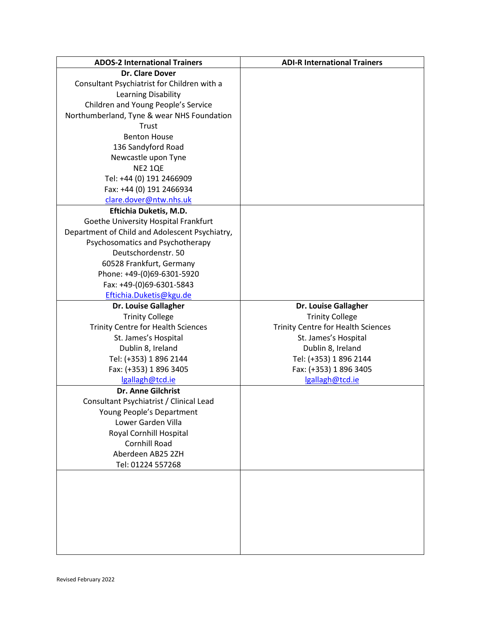| <b>ADOS-2 International Trainers</b>           | <b>ADI-R International Trainers</b>       |
|------------------------------------------------|-------------------------------------------|
| <b>Dr. Clare Dover</b>                         |                                           |
| Consultant Psychiatrist for Children with a    |                                           |
| Learning Disability                            |                                           |
| Children and Young People's Service            |                                           |
| Northumberland, Tyne & wear NHS Foundation     |                                           |
| Trust                                          |                                           |
| <b>Benton House</b>                            |                                           |
| 136 Sandyford Road                             |                                           |
| Newcastle upon Tyne                            |                                           |
| <b>NE2 1QE</b>                                 |                                           |
| Tel: +44 (0) 191 2466909                       |                                           |
| Fax: +44 (0) 191 2466934                       |                                           |
| clare.dover@ntw.nhs.uk                         |                                           |
| Eftichia Duketis, M.D.                         |                                           |
| Goethe University Hospital Frankfurt           |                                           |
| Department of Child and Adolescent Psychiatry, |                                           |
| Psychosomatics and Psychotherapy               |                                           |
| Deutschordenstr. 50                            |                                           |
| 60528 Frankfurt, Germany                       |                                           |
| Phone: +49-(0)69-6301-5920                     |                                           |
| Fax: +49-(0)69-6301-5843                       |                                           |
| Eftichia.Duketis@kgu.de                        |                                           |
| <b>Dr. Louise Gallagher</b>                    | <b>Dr. Louise Gallagher</b>               |
| <b>Trinity College</b>                         | <b>Trinity College</b>                    |
| <b>Trinity Centre for Health Sciences</b>      | <b>Trinity Centre for Health Sciences</b> |
| St. James's Hospital                           | St. James's Hospital                      |
| Dublin 8, Ireland                              | Dublin 8, Ireland                         |
| Tel: (+353) 1 896 2144                         | Tel: (+353) 1 896 2144                    |
| Fax: (+353) 1 896 3405                         | Fax: (+353) 1 896 3405                    |
| lgallagh@tcd.ie                                | lgallagh@tcd.ie                           |
| Dr. Anne Gilchrist                             |                                           |
| Consultant Psychiatrist / Clinical Lead        |                                           |
| Young People's Department                      |                                           |
| Lower Garden Villa                             |                                           |
| Royal Cornhill Hospital                        |                                           |
| Cornhill Road                                  |                                           |
| Aberdeen AB25 2ZH                              |                                           |
| Tel: 01224 557268                              |                                           |
|                                                |                                           |
|                                                |                                           |
|                                                |                                           |
|                                                |                                           |
|                                                |                                           |
|                                                |                                           |
|                                                |                                           |
|                                                |                                           |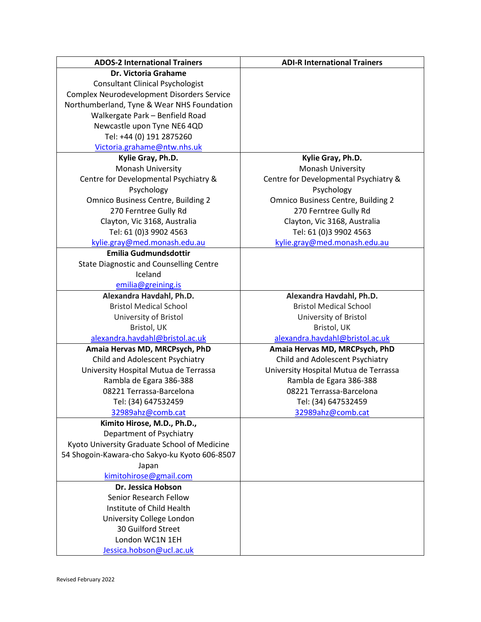| <b>ADOS-2 International Trainers</b>            | <b>ADI-R International Trainers</b>       |
|-------------------------------------------------|-------------------------------------------|
| Dr. Victoria Grahame                            |                                           |
| <b>Consultant Clinical Psychologist</b>         |                                           |
| Complex Neurodevelopment Disorders Service      |                                           |
| Northumberland, Tyne & Wear NHS Foundation      |                                           |
| Walkergate Park - Benfield Road                 |                                           |
| Newcastle upon Tyne NE6 4QD                     |                                           |
| Tel: +44 (0) 191 2875260                        |                                           |
| Victoria.grahame@ntw.nhs.uk                     |                                           |
| Kylie Gray, Ph.D.                               | Kylie Gray, Ph.D.                         |
| Monash University                               | Monash University                         |
| Centre for Developmental Psychiatry &           | Centre for Developmental Psychiatry &     |
| Psychology                                      | Psychology                                |
| <b>Omnico Business Centre, Building 2</b>       | <b>Omnico Business Centre, Building 2</b> |
| 270 Ferntree Gully Rd                           | 270 Ferntree Gully Rd                     |
| Clayton, Vic 3168, Australia                    | Clayton, Vic 3168, Australia              |
| Tel: 61 (0)3 9902 4563                          | Tel: 61 (0)3 9902 4563                    |
| kylie.gray@med.monash.edu.au                    | kylie.gray@med.monash.edu.au              |
| <b>Emilia Gudmundsdottir</b>                    |                                           |
| <b>State Diagnostic and Counselling Centre</b>  |                                           |
| Iceland                                         |                                           |
| emilia@greining.is                              |                                           |
| Alexandra Havdahl, Ph.D.                        | Alexandra Havdahl, Ph.D.                  |
| <b>Bristol Medical School</b>                   | <b>Bristol Medical School</b>             |
| University of Bristol                           | University of Bristol                     |
| Bristol, UK                                     | Bristol, UK                               |
| alexandra.havdahl@bristol.ac.uk                 | alexandra.havdahl@bristol.ac.uk           |
| Amaia Hervas MD, MRCPsych, PhD                  | Amaia Hervas MD, MRCPsych, PhD            |
| Child and Adolescent Psychiatry                 | Child and Adolescent Psychiatry           |
| University Hospital Mutua de Terrassa           | University Hospital Mutua de Terrassa     |
| Rambla de Egara 386-388                         | Rambla de Egara 386-388                   |
| 08221 Terrassa-Barcelona                        | 08221 Terrassa-Barcelona                  |
| Tel: (34) 647532459                             | Tel: (34) 647532459                       |
| 32989ahz@comb.cat                               | 32989ahz@comb.cat                         |
| Kimito Hirose, M.D., Ph.D.,                     |                                           |
| Department of Psychiatry                        |                                           |
| Kyoto University Graduate School of Medicine    |                                           |
| 54 Shogoin-Kawara-cho Sakyo-ku Kyoto 606-8507   |                                           |
| Japan                                           |                                           |
| kimitohirose@gmail.com                          |                                           |
| Dr. Jessica Hobson                              |                                           |
| Senior Research Fellow                          |                                           |
| Institute of Child Health                       |                                           |
|                                                 |                                           |
| University College London<br>30 Guilford Street |                                           |
| London WC1N 1EH                                 |                                           |
|                                                 |                                           |
| Jessica.hobson@ucl.ac.uk                        |                                           |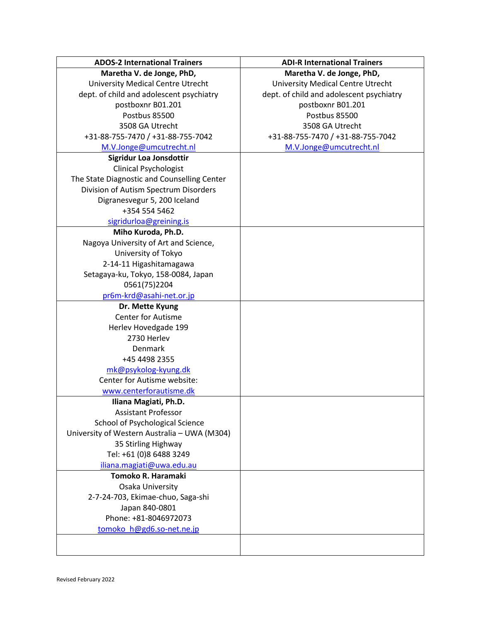| <b>ADOS-2 International Trainers</b>         | <b>ADI-R International Trainers</b>      |
|----------------------------------------------|------------------------------------------|
| Maretha V. de Jonge, PhD,                    | Maretha V. de Jonge, PhD,                |
| <b>University Medical Centre Utrecht</b>     | <b>University Medical Centre Utrecht</b> |
| dept. of child and adolescent psychiatry     | dept. of child and adolescent psychiatry |
| postboxnr B01.201                            | postboxnr B01.201                        |
| Postbus 85500                                | Postbus 85500                            |
| 3508 GA Utrecht                              | 3508 GA Utrecht                          |
| +31-88-755-7470 / +31-88-755-7042            | +31-88-755-7470 / +31-88-755-7042        |
| M.V.Jonge@umcutrecht.nl                      | M.V.Jonge@umcutrecht.nl                  |
| Sigridur Loa Jonsdottir                      |                                          |
| <b>Clinical Psychologist</b>                 |                                          |
| The State Diagnostic and Counselling Center  |                                          |
| Division of Autism Spectrum Disorders        |                                          |
| Digranesvegur 5, 200 Iceland                 |                                          |
| +354 554 5462                                |                                          |
| sigridurloa@greining.is                      |                                          |
| Miho Kuroda, Ph.D.                           |                                          |
| Nagoya University of Art and Science,        |                                          |
| University of Tokyo                          |                                          |
| 2-14-11 Higashitamagawa                      |                                          |
| Setagaya-ku, Tokyo, 158-0084, Japan          |                                          |
| 0561(75)2204                                 |                                          |
| pr6m-krd@asahi-net.or.jp                     |                                          |
| Dr. Mette Kyung                              |                                          |
| <b>Center for Autisme</b>                    |                                          |
| Herlev Hovedgade 199                         |                                          |
| 2730 Herlev                                  |                                          |
| Denmark                                      |                                          |
| +45 4498 2355                                |                                          |
| mk@psykolog-kyung.dk                         |                                          |
| Center for Autisme website:                  |                                          |
| www.centerforautisme.dk                      |                                          |
| Iliana Magiati, Ph.D.                        |                                          |
| <b>Assistant Professor</b>                   |                                          |
| School of Psychological Science              |                                          |
| University of Western Australia - UWA (M304) |                                          |
| 35 Stirling Highway                          |                                          |
| Tel: +61 (0)8 6488 3249                      |                                          |
| iliana.magiati@uwa.edu.au                    |                                          |
| Tomoko R. Haramaki                           |                                          |
| Osaka University                             |                                          |
| 2-7-24-703, Ekimae-chuo, Saga-shi            |                                          |
| Japan 840-0801                               |                                          |
| Phone: +81-8046972073                        |                                          |
| tomoko h@gd6.so-net.ne.jp                    |                                          |
|                                              |                                          |
|                                              |                                          |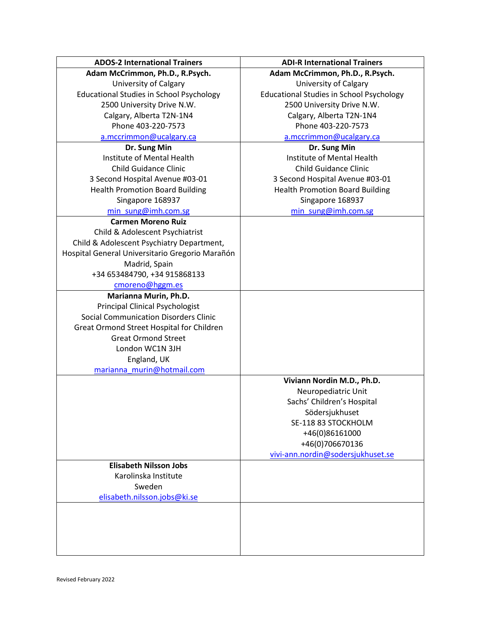| <b>ADOS-2 International Trainers</b>            | <b>ADI-R International Trainers</b>                  |
|-------------------------------------------------|------------------------------------------------------|
| Adam McCrimmon, Ph.D., R.Psych.                 | Adam McCrimmon, Ph.D., R.Psych.                      |
| <b>University of Calgary</b>                    | University of Calgary                                |
| <b>Educational Studies in School Psychology</b> | <b>Educational Studies in School Psychology</b>      |
| 2500 University Drive N.W.                      | 2500 University Drive N.W.                           |
| Calgary, Alberta T2N-1N4                        | Calgary, Alberta T2N-1N4                             |
| Phone 403-220-7573                              | Phone 403-220-7573                                   |
| a.mccrimmon@ucalgary.ca                         | a.mccrimmon@ucalgary.ca                              |
| Dr. Sung Min                                    | Dr. Sung Min                                         |
| Institute of Mental Health                      | Institute of Mental Health                           |
| <b>Child Guidance Clinic</b>                    | <b>Child Guidance Clinic</b>                         |
| 3 Second Hospital Avenue #03-01                 | 3 Second Hospital Avenue #03-01                      |
| <b>Health Promotion Board Building</b>          | <b>Health Promotion Board Building</b>               |
| Singapore 168937                                | Singapore 168937                                     |
| min sung@imh.com.sg                             | min sung@imh.com.sg                                  |
| <b>Carmen Moreno Ruiz</b>                       |                                                      |
| Child & Adolescent Psychiatrist                 |                                                      |
| Child & Adolescent Psychiatry Department,       |                                                      |
| Hospital General Universitario Gregorio Marañón |                                                      |
| Madrid, Spain                                   |                                                      |
| +34 653484790, +34 915868133                    |                                                      |
| cmoreno@hggm.es                                 |                                                      |
| Marianna Murin, Ph.D.                           |                                                      |
| <b>Principal Clinical Psychologist</b>          |                                                      |
| <b>Social Communication Disorders Clinic</b>    |                                                      |
| Great Ormond Street Hospital for Children       |                                                      |
| <b>Great Ormond Street</b>                      |                                                      |
| London WC1N 3JH                                 |                                                      |
| England, UK                                     |                                                      |
| marianna murin@hotmail.com                      |                                                      |
|                                                 | Viviann Nordin M.D., Ph.D.                           |
|                                                 | Neuropediatric Unit<br>Sachs' Children's Hospital    |
|                                                 |                                                      |
|                                                 | Södersjukhuset<br>SE-118 83 STOCKHOLM                |
|                                                 | +46(0)86161000                                       |
|                                                 |                                                      |
|                                                 | +46(0)706670136<br>vivi-ann.nordin@sodersjukhuset.se |
| <b>Elisabeth Nilsson Jobs</b>                   |                                                      |
| Karolinska Institute                            |                                                      |
| Sweden                                          |                                                      |
| elisabeth.nilsson.jobs@ki.se                    |                                                      |
|                                                 |                                                      |
|                                                 |                                                      |
|                                                 |                                                      |
|                                                 |                                                      |
|                                                 |                                                      |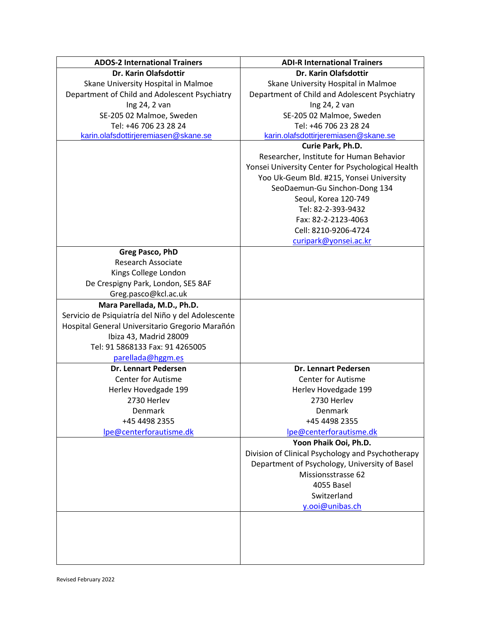| <b>ADOS-2 International Trainers</b>               | <b>ADI-R International Trainers</b>               |
|----------------------------------------------------|---------------------------------------------------|
| Dr. Karin Olafsdottir                              | Dr. Karin Olafsdottir                             |
| Skane University Hospital in Malmoe                | Skane University Hospital in Malmoe               |
| Department of Child and Adolescent Psychiatry      | Department of Child and Adolescent Psychiatry     |
| Ing 24, 2 van                                      | Ing 24, 2 van                                     |
| SE-205 02 Malmoe, Sweden                           | SE-205 02 Malmoe, Sweden                          |
| Tel: +46 706 23 28 24                              | Tel: +46 706 23 28 24                             |
| karin.olafsdottirjeremiasen@skane.se               | karin.olafsdottirjeremiasen@skane.se              |
|                                                    | Curie Park, Ph.D.                                 |
|                                                    | Researcher, Institute for Human Behavior          |
|                                                    | Yonsei University Center for Psychological Health |
|                                                    | Yoo Uk-Geum Bld. #215, Yonsei University          |
|                                                    | SeoDaemun-Gu Sinchon-Dong 134                     |
|                                                    | Seoul, Korea 120-749                              |
|                                                    | Tel: 82-2-393-9432                                |
|                                                    | Fax: 82-2-2123-4063                               |
|                                                    | Cell: 8210-9206-4724                              |
|                                                    | curipark@yonsei.ac.kr                             |
| Greg Pasco, PhD                                    |                                                   |
| <b>Research Associate</b>                          |                                                   |
| Kings College London                               |                                                   |
| De Crespigny Park, London, SE5 8AF                 |                                                   |
| Greg.pasco@kcl.ac.uk                               |                                                   |
| Mara Parellada, M.D., Ph.D.                        |                                                   |
| Servicio de Psiquiatría del Niño y del Adolescente |                                                   |
| Hospital General Universitario Gregorio Marañón    |                                                   |
| Ibiza 43, Madrid 28009                             |                                                   |
| Tel: 91 5868133 Fax: 91 4265005                    |                                                   |
| parellada@hggm.es                                  |                                                   |
| <b>Dr. Lennart Pedersen</b>                        | <b>Dr. Lennart Pedersen</b>                       |
| <b>Center for Autisme</b>                          | Center for Autisme                                |
| Herlev Hovedgade 199                               | Herlev Hovedgade 199                              |
| 2730 Herlev                                        | 2730 Herlev                                       |
| Denmark                                            | Denmark                                           |
| +45 4498 2355                                      | +45 4498 2355                                     |
| Ipe@centerforautisme.dk                            | Ipe@centerforautisme.dk                           |
|                                                    | Yoon Phaik Ooi, Ph.D.                             |
|                                                    | Division of Clinical Psychology and Psychotherapy |
|                                                    | Department of Psychology, University of Basel     |
|                                                    | Missionsstrasse 62                                |
|                                                    | 4055 Basel                                        |
|                                                    | Switzerland                                       |
|                                                    | y.ooi@unibas.ch                                   |
|                                                    |                                                   |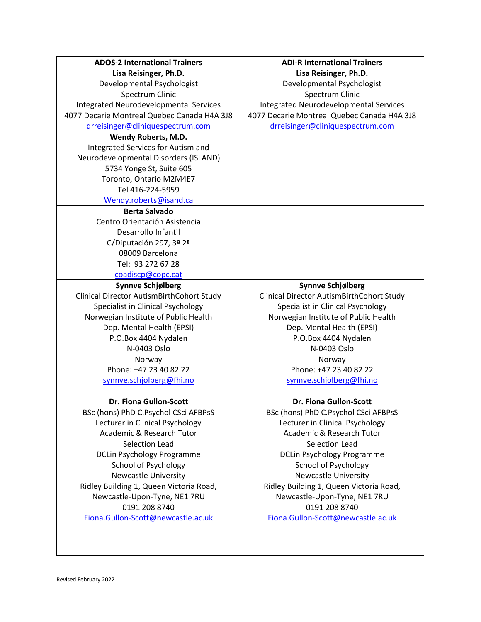| <b>ADOS-2 International Trainers</b>          | <b>ADI-R International Trainers</b>           |
|-----------------------------------------------|-----------------------------------------------|
| Lisa Reisinger, Ph.D.                         | Lisa Reisinger, Ph.D.                         |
| Developmental Psychologist                    | Developmental Psychologist                    |
| Spectrum Clinic                               | Spectrum Clinic                               |
| <b>Integrated Neurodevelopmental Services</b> | <b>Integrated Neurodevelopmental Services</b> |
| 4077 Decarie Montreal Quebec Canada H4A 3J8   | 4077 Decarie Montreal Quebec Canada H4A 3J8   |
| drreisinger@cliniquespectrum.com              | drreisinger@cliniquespectrum.com              |
| Wendy Roberts, M.D.                           |                                               |
| Integrated Services for Autism and            |                                               |
| Neurodevelopmental Disorders (ISLAND)         |                                               |
| 5734 Yonge St, Suite 605                      |                                               |
| Toronto, Ontario M2M4E7                       |                                               |
| Tel 416-224-5959                              |                                               |
| Wendy.roberts@isand.ca                        |                                               |
| <b>Berta Salvado</b>                          |                                               |
| Centro Orientación Asistencia                 |                                               |
| Desarrollo Infantil                           |                                               |
| C/Diputación 297, 3º 2ª                       |                                               |
| 08009 Barcelona                               |                                               |
| Tel: 93 272 67 28                             |                                               |
| coadiscp@copc.cat                             |                                               |
| Synnve Schjølberg                             | <b>Synnve Schjølberg</b>                      |
| Clinical Director AutismBirthCohort Study     | Clinical Director AutismBirthCohort Study     |
| Specialist in Clinical Psychology             | Specialist in Clinical Psychology             |
| Norwegian Institute of Public Health          | Norwegian Institute of Public Health          |
| Dep. Mental Health (EPSI)                     | Dep. Mental Health (EPSI)                     |
| P.O.Box 4404 Nydalen                          | P.O.Box 4404 Nydalen                          |
| N-0403 Oslo                                   | N-0403 Oslo                                   |
| Norway                                        | Norway                                        |
| Phone: +47 23 40 82 22                        | Phone: +47 23 40 82 22                        |
| synnve.schjolberg@fhi.no                      | synnve.schjolberg@fhi.no                      |
|                                               |                                               |
| Dr. Fiona Gullon-Scott                        | Dr. Fiona Gullon-Scott                        |
| BSc (hons) PhD C.Psychol CSci AFBPsS          | BSc (hons) PhD C.Psychol CSci AFBPsS          |
| Lecturer in Clinical Psychology               | Lecturer in Clinical Psychology               |
| Academic & Research Tutor                     | Academic & Research Tutor                     |
| Selection Lead                                | <b>Selection Lead</b>                         |
| <b>DCLin Psychology Programme</b>             | <b>DCLin Psychology Programme</b>             |
| <b>School of Psychology</b>                   | <b>School of Psychology</b>                   |
| <b>Newcastle University</b>                   | <b>Newcastle University</b>                   |
| Ridley Building 1, Queen Victoria Road,       | Ridley Building 1, Queen Victoria Road,       |
| Newcastle-Upon-Tyne, NE1 7RU                  | Newcastle-Upon-Tyne, NE1 7RU                  |
| 0191 208 8740                                 | 0191 208 8740                                 |
| Fiona.Gullon-Scott@newcastle.ac.uk            | Fiona.Gullon-Scott@newcastle.ac.uk            |
|                                               |                                               |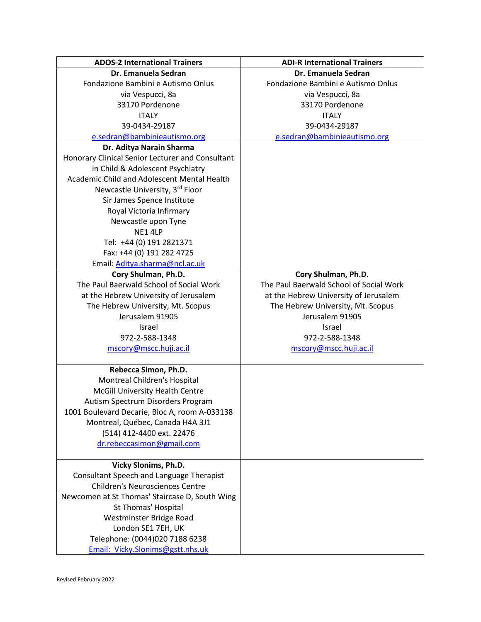| <b>ADOS-2 International Trainers</b>             | <b>ADI-R International Trainers</b>     |
|--------------------------------------------------|-----------------------------------------|
| Dr. Emanuela Sedran                              | Dr. Emanuela Sedran                     |
| Fondazione Bambini e Autismo Onlus               | Fondazione Bambini e Autismo Onlus      |
| via Vespucci, 8a                                 | via Vespucci, 8a                        |
| 33170 Pordenone                                  | 33170 Pordenone                         |
| <b>ITALY</b>                                     | <b>ITALY</b>                            |
| 39-0434-29187                                    | 39-0434-29187                           |
| e.sedran@bambinieautismo.org                     | e.sedran@bambinieautismo.org            |
| Dr. Aditya Narain Sharma                         |                                         |
| Honorary Clinical Senior Lecturer and Consultant |                                         |
| in Child & Adolescent Psychiatry                 |                                         |
| Academic Child and Adolescent Mental Health      |                                         |
| Newcastle University, 3rd Floor                  |                                         |
| Sir James Spence Institute                       |                                         |
| Royal Victoria Infirmary                         |                                         |
| Newcastle upon Tyne                              |                                         |
| NE1 4LP                                          |                                         |
| Tel: +44 (0) 191 2821371                         |                                         |
| Fax: +44 (0) 191 282 4725                        |                                         |
| Email: Aditya.sharma@ncl.ac.uk                   |                                         |
| Cory Shulman, Ph.D.                              | Cory Shulman, Ph.D.                     |
| The Paul Baerwald School of Social Work          | The Paul Baerwald School of Social Work |
| at the Hebrew University of Jerusalem            | at the Hebrew University of Jerusalem   |
| The Hebrew University, Mt. Scopus                | The Hebrew University, Mt. Scopus       |
| Jerusalem 91905                                  | Jerusalem 91905                         |
| Israel                                           | Israel                                  |
| 972-2-588-1348                                   | 972-2-588-1348                          |
| mscory@mscc.huji.ac.il                           | mscory@mscc.huji.ac.il                  |
|                                                  |                                         |
| Rebecca Simon, Ph.D.                             |                                         |
| Montreal Children's Hospital                     |                                         |
| McGill University Health Centre                  |                                         |
| Autism Spectrum Disorders Program                |                                         |
| 1001 Boulevard Decarie, Bloc A, room A-033138    |                                         |
| Montreal, Québec, Canada H4A 3J1                 |                                         |
| (514) 412-4400 ext. 22476                        |                                         |
| dr.rebeccasimon@gmail.com                        |                                         |
|                                                  |                                         |
| Vicky Slonims, Ph.D.                             |                                         |
| Consultant Speech and Language Therapist         |                                         |
| <b>Children's Neurosciences Centre</b>           |                                         |
| Newcomen at St Thomas' Staircase D, South Wing   |                                         |
| St Thomas' Hospital                              |                                         |
| Westminster Bridge Road                          |                                         |
| London SE1 7EH, UK                               |                                         |
| Telephone: (0044)020 7188 6238                   |                                         |
| Email: Vicky.Slonims@gstt.nhs.uk                 |                                         |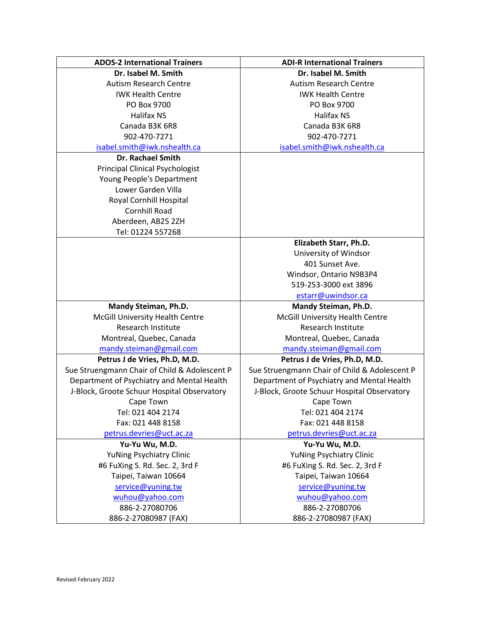| <b>ADOS-2 International Trainers</b>          | <b>ADI-R International Trainers</b>           |
|-----------------------------------------------|-----------------------------------------------|
| Dr. Isabel M. Smith                           | Dr. Isabel M. Smith                           |
| <b>Autism Research Centre</b>                 | <b>Autism Research Centre</b>                 |
| <b>IWK Health Centre</b>                      | <b>IWK Health Centre</b>                      |
| PO Box 9700                                   | PO Box 9700                                   |
| <b>Halifax NS</b>                             | <b>Halifax NS</b>                             |
| Canada B3K 6R8                                | Canada B3K 6R8                                |
| 902-470-7271                                  | 902-470-7271                                  |
| isabel.smith@iwk.nshealth.ca                  | isabel.smith@iwk.nshealth.ca                  |
| <b>Dr. Rachael Smith</b>                      |                                               |
| <b>Principal Clinical Psychologist</b>        |                                               |
| Young People's Department                     |                                               |
| Lower Garden Villa                            |                                               |
| Royal Cornhill Hospital                       |                                               |
| Cornhill Road                                 |                                               |
| Aberdeen, AB25 2ZH                            |                                               |
| Tel: 01224 557268                             |                                               |
|                                               | Elizabeth Starr, Ph.D.                        |
|                                               | University of Windsor                         |
|                                               | 401 Sunset Ave.                               |
|                                               | Windsor, Ontario N9B3P4                       |
|                                               | 519-253-3000 ext 3896                         |
|                                               | estarr@uwindsor.ca                            |
| Mandy Steiman, Ph.D.                          | Mandy Steiman, Ph.D.                          |
| McGill University Health Centre               | McGill University Health Centre               |
| <b>Research Institute</b>                     | <b>Research Institute</b>                     |
| Montreal, Quebec, Canada                      | Montreal, Quebec, Canada                      |
| mandy.steiman@gmail.com                       | mandy.steiman@gmail.com                       |
| Petrus J de Vries, Ph.D, M.D.                 | Petrus J de Vries, Ph.D, M.D.                 |
| Sue Struengmann Chair of Child & Adolescent P | Sue Struengmann Chair of Child & Adolescent P |
| Department of Psychiatry and Mental Health    | Department of Psychiatry and Mental Health    |
| J-Block, Groote Schuur Hospital Observatory   | J-Block, Groote Schuur Hospital Observatory   |
| Cape Town                                     | Cape Town                                     |
| Tel: 021 404 2174                             | Tel: 021 404 2174                             |
| Fax: 021 448 8158                             | Fax: 021 448 8158                             |
| petrus.devries@uct.ac.za                      | petrus.devries@uct.ac.za                      |
| Yu-Yu Wu, M.D.                                | Yu-Yu Wu, M.D.                                |
| <b>YuNing Psychiatry Clinic</b>               | YuNing Psychiatry Clinic                      |
| #6 FuXing S. Rd. Sec. 2, 3rd F                | #6 FuXing S. Rd. Sec. 2, 3rd F                |
| Taipei, Taiwan 10664                          | Taipei, Taiwan 10664                          |
| service@yuning.tw                             | service@yuning.tw                             |
| wuhou@yahoo.com                               | wuhou@yahoo.com                               |
| 886-2-27080706                                | 886-2-27080706                                |
| 886-2-27080987 (FAX)                          | 886-2-27080987 (FAX)                          |